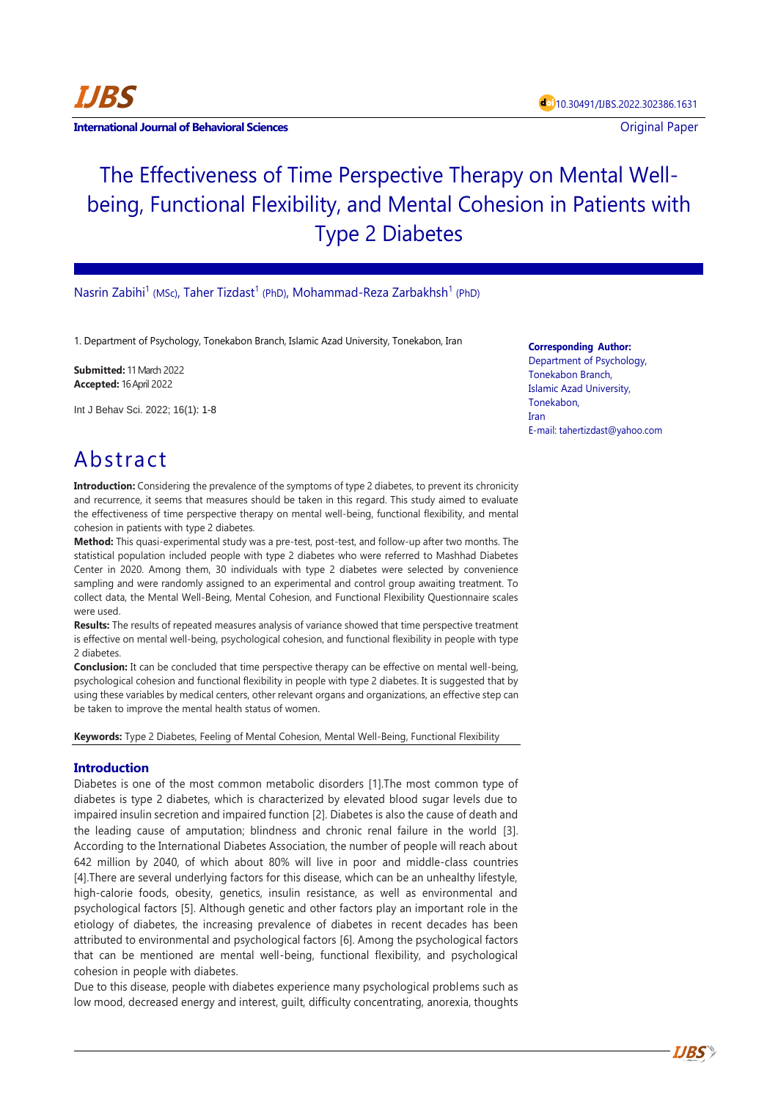

**International Journal of Behavioral Sciences Contract Contract Contract Contract Contract Contract Contract Contract Contract Contract Contract Contract Contract Contract Contract Contract Contract Contract Contract Con** 

# The Effectiveness of Time Perspective Therapy on Mental Wellbeing, Functional Flexibility, and Mental Cohesion in Patients with Type 2 Diabetes

Nasrin Zabihi<sup>1</sup> (MSc), Taher Tizdast<sup>1</sup> (PhD), Mohammad-Reza Zarbakhsh<sup>1</sup> (PhD)

1. Department of Psychology, Tonekabon Branch, Islamic Azad University, Tonekabon, Iran

**Submitted:** 11 March 2022 **Accepted:** 16 April 2022

Int J Behav Sci. 2022; 16(1): 1-8

## Abstract

**Introduction:** Considering the prevalence of the symptoms of type 2 diabetes, to prevent its chronicity and recurrence, it seems that measures should be taken in this regard. This study aimed to evaluate the effectiveness of time perspective therapy on mental well-being, functional flexibility, and mental cohesion in patients with type 2 diabetes.

**Method:** This quasi-experimental study was a pre-test, post-test, and follow-up after two months. The statistical population included people with type 2 diabetes who were referred to Mashhad Diabetes Center in 2020. Among them, 30 individuals with type 2 diabetes were selected by convenience sampling and were randomly assigned to an experimental and control group awaiting treatment. To collect data, the Mental Well-Being, Mental Cohesion, and Functional Flexibility Questionnaire scales were used.

**Results:** The results of repeated measures analysis of variance showed that time perspective treatment is effective on mental well-being, psychological cohesion, and functional flexibility in people with type 2 diabetes.

**Conclusion:** It can be concluded that time perspective therapy can be effective on mental well-being, psychological cohesion and functional flexibility in people with type 2 diabetes. It is suggested that by using these variables by medical centers, other relevant organs and organizations, an effective step can be taken to improve the mental health status of women.

**Keywords:** Type 2 Diabetes, Feeling of Mental Cohesion, Mental Well-Being, Functional Flexibility

## **Introduction**

Diabetes is one of the most common metabolic disorders [1].The most common type of diabetes is type 2 diabetes, which is characterized by elevated blood sugar levels due to impaired insulin secretion and impaired function [2]. Diabetes is also the cause of death and the leading cause of amputation; blindness and chronic renal failure in the world [3]. According to the International Diabetes Association, the number of people will reach about 642 million by 2040, of which about 80% will live in poor and middle-class countries [4].There are several underlying factors for this disease, which can be an unhealthy lifestyle, high-calorie foods, obesity, genetics, insulin resistance, as well as environmental and psychological factors [5]. Although genetic and other factors play an important role in the etiology of diabetes, the increasing prevalence of diabetes in recent decades has been attributed to environmental and psychological factors [6]. Among the psychological factors that can be mentioned are mental well-being, functional flexibility, and psychological cohesion in people with diabetes.

Due to this disease, people with diabetes experience many psychological problems such as low mood, decreased energy and interest, guilt, difficulty concentrating, anorexia, thoughts

#### **Corresponding Author:**

Department of Psychology, Tonekabon Branch, Islamic Azad University, Tonekabon, Iran E-mail: tahertizdast@yahoo.com

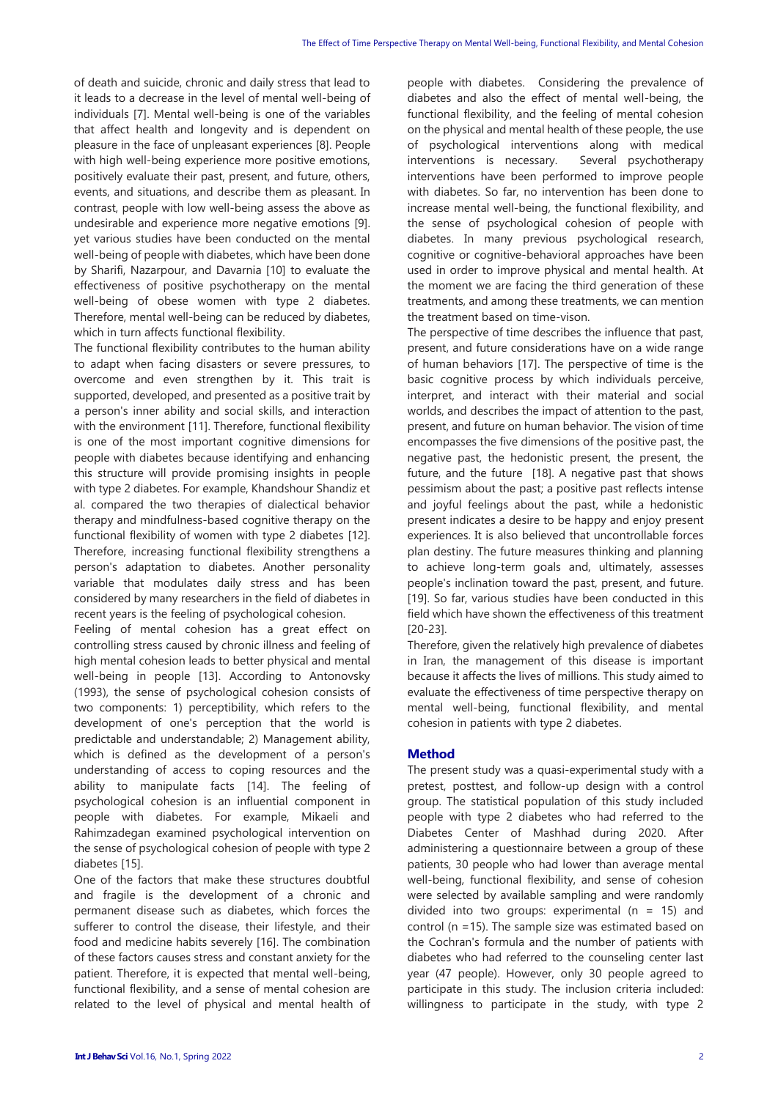of death and suicide, chronic and daily stress that lead to it leads to a decrease in the level of mental well-being of individuals [7]. Mental well-being is one of the variables that affect health and longevity and is dependent on pleasure in the face of unpleasant experiences [8]. People with high well-being experience more positive emotions, positively evaluate their past, present, and future, others, events, and situations, and describe them as pleasant. In contrast, people with low well-being assess the above as undesirable and experience more negative emotions [9]. yet various studies have been conducted on the mental well-being of people with diabetes, which have been done by Sharifi, Nazarpour, and Davarnia [10] to evaluate the effectiveness of positive psychotherapy on the mental well-being of obese women with type 2 diabetes. Therefore, mental well-being can be reduced by diabetes, which in turn affects functional flexibility.

The functional flexibility contributes to the human ability to adapt when facing disasters or severe pressures, to overcome and even strengthen by it. This trait is supported, developed, and presented as a positive trait by a person's inner ability and social skills, and interaction with the environment [11]. Therefore, functional flexibility is one of the most important cognitive dimensions for people with diabetes because identifying and enhancing this structure will provide promising insights in people with type 2 diabetes. For example, Khandshour Shandiz et al. compared the two therapies of dialectical behavior therapy and mindfulness-based cognitive therapy on the functional flexibility of women with type 2 diabetes [12]. Therefore, increasing functional flexibility strengthens a person's adaptation to diabetes. Another personality variable that modulates daily stress and has been considered by many researchers in the field of diabetes in recent years is the feeling of psychological cohesion.

Feeling of mental cohesion has a great effect on controlling stress caused by chronic illness and feeling of high mental cohesion leads to better physical and mental well-being in people [13]. According to Antonovsky (1993), the sense of psychological cohesion consists of two components: 1) perceptibility, which refers to the development of one's perception that the world is predictable and understandable; 2) Management ability, which is defined as the development of a person's understanding of access to coping resources and the ability to manipulate facts [14]. The feeling of psychological cohesion is an influential component in people with diabetes. For example, Mikaeli and Rahimzadegan examined psychological intervention on the sense of psychological cohesion of people with type 2 diabetes [15].

One of the factors that make these structures doubtful and fragile is the development of a chronic and permanent disease such as diabetes, which forces the sufferer to control the disease, their lifestyle, and their food and medicine habits severely [16]. The combination of these factors causes stress and constant anxiety for the patient. Therefore, it is expected that mental well-being, functional flexibility, and a sense of mental cohesion are related to the level of physical and mental health of people with diabetes. Considering the prevalence of diabetes and also the effect of mental well-being, the functional flexibility, and the feeling of mental cohesion on the physical and mental health of these people, the use of psychological interventions along with medical interventions is necessary. Several psychotherapy interventions have been performed to improve people with diabetes. So far, no intervention has been done to increase mental well-being, the functional flexibility, and the sense of psychological cohesion of people with diabetes. In many previous psychological research, cognitive or cognitive-behavioral approaches have been used in order to improve physical and mental health. At the moment we are facing the third generation of these treatments, and among these treatments, we can mention the treatment based on time-vison.

The perspective of time describes the influence that past, present, and future considerations have on a wide range of human behaviors [17]. The perspective of time is the basic cognitive process by which individuals perceive, interpret, and interact with their material and social worlds, and describes the impact of attention to the past, present, and future on human behavior. The vision of time encompasses the five dimensions of the positive past, the negative past, the hedonistic present, the present, the future, and the future [18]. A negative past that shows pessimism about the past; a positive past reflects intense and joyful feelings about the past, while a hedonistic present indicates a desire to be happy and enjoy present experiences. It is also believed that uncontrollable forces plan destiny. The future measures thinking and planning to achieve long-term goals and, ultimately, assesses people's inclination toward the past, present, and future. [19]. So far, various studies have been conducted in this field which have shown the effectiveness of this treatment [20-23].

Therefore, given the relatively high prevalence of diabetes in Iran, the management of this disease is important because it affects the lives of millions. This study aimed to evaluate the effectiveness of time perspective therapy on mental well-being, functional flexibility, and mental cohesion in patients with type 2 diabetes.

## **Method**

The present study was a quasi-experimental study with a pretest, posttest, and follow-up design with a control group. The statistical population of this study included people with type 2 diabetes who had referred to the Diabetes Center of Mashhad during 2020. After administering a questionnaire between a group of these patients, 30 people who had lower than average mental well-being, functional flexibility, and sense of cohesion were selected by available sampling and were randomly divided into two groups: experimental ( $n = 15$ ) and control (n =15). The sample size was estimated based on the Cochran's formula and the number of patients with diabetes who had referred to the counseling center last year (47 people). However, only 30 people agreed to participate in this study. The inclusion criteria included: willingness to participate in the study, with type 2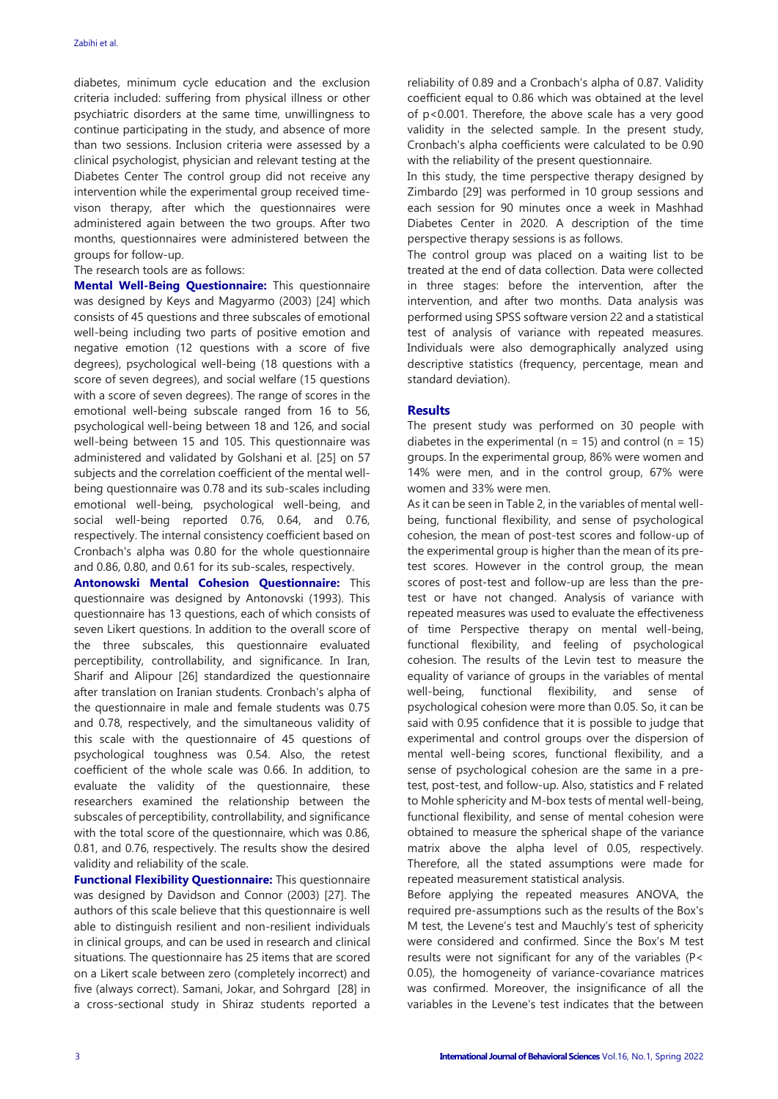diabetes, minimum cycle education and the exclusion criteria included: suffering from physical illness or other psychiatric disorders at the same time, unwillingness to continue participating in the study, and absence of more than two sessions. Inclusion criteria were assessed by a clinical psychologist, physician and relevant testing at the Diabetes Center The control group did not receive any intervention while the experimental group received timevison therapy, after which the questionnaires were administered again between the two groups. After two months, questionnaires were administered between the groups for follow-up.

#### The research tools are as follows:

**Mental Well-Being Questionnaire:** This questionnaire was designed by Keys and Magyarmo (2003) [24] which consists of 45 questions and three subscales of emotional well-being including two parts of positive emotion and negative emotion (12 questions with a score of five degrees), psychological well-being (18 questions with a score of seven degrees), and social welfare (15 questions with a score of seven degrees). The range of scores in the emotional well-being subscale ranged from 16 to 56, psychological well-being between 18 and 126, and social well-being between 15 and 105. This questionnaire was administered and validated by Golshani et al. [25] on 57 subjects and the correlation coefficient of the mental wellbeing questionnaire was 0.78 and its sub-scales including emotional well-being, psychological well-being, and social well-being reported 0.76, 0.64, and 0.76, respectively. The internal consistency coefficient based on Cronbach's alpha was 0.80 for the whole questionnaire and 0.86, 0.80, and 0.61 for its sub-scales, respectively.

**Antonowski Mental Cohesion Questionnaire:** This questionnaire was designed by Antonovski (1993). This questionnaire has 13 questions, each of which consists of seven Likert questions. In addition to the overall score of the three subscales, this questionnaire evaluated perceptibility, controllability, and significance. In Iran, Sharif and Alipour [26] standardized the questionnaire after translation on Iranian students. Cronbach's alpha of the questionnaire in male and female students was 0.75 and 0.78, respectively, and the simultaneous validity of this scale with the questionnaire of 45 questions of psychological toughness was 0.54. Also, the retest coefficient of the whole scale was 0.66. In addition, to evaluate the validity of the questionnaire, these researchers examined the relationship between the subscales of perceptibility, controllability, and significance with the total score of the questionnaire, which was 0.86, 0.81, and 0.76, respectively. The results show the desired validity and reliability of the scale.

**Functional Flexibility Questionnaire:** This questionnaire was designed by Davidson and Connor (2003) [27]. The authors of this scale believe that this questionnaire is well able to distinguish resilient and non-resilient individuals in clinical groups, and can be used in research and clinical situations. The questionnaire has 25 items that are scored on a Likert scale between zero (completely incorrect) and five (always correct). Samani, Jokar, and Sohrgard [28] in a cross-sectional study in Shiraz students reported a

reliability of 0.89 and a Cronbach's alpha of 0.87. Validity coefficient equal to 0.86 which was obtained at the level of p<0.001. Therefore, the above scale has a very good validity in the selected sample. In the present study, Cronbach's alpha coefficients were calculated to be 0.90 with the reliability of the present questionnaire.

In this study, the time perspective therapy designed by Zimbardo [29] was performed in 10 group sessions and each session for 90 minutes once a week in Mashhad Diabetes Center in 2020. A description of the time perspective therapy sessions is as follows.

The control group was placed on a waiting list to be treated at the end of data collection. Data were collected in three stages: before the intervention, after the intervention, and after two months. Data analysis was performed using SPSS software version 22 and a statistical test of analysis of variance with repeated measures. Individuals were also demographically analyzed using descriptive statistics (frequency, percentage, mean and standard deviation).

#### **Results**

The present study was performed on 30 people with diabetes in the experimental ( $n = 15$ ) and control ( $n = 15$ ) groups. In the experimental group, 86% were women and 14% were men, and in the control group, 67% were women and 33% were men.

As it can be seen in Table 2, in the variables of mental wellbeing, functional flexibility, and sense of psychological cohesion, the mean of post-test scores and follow-up of the experimental group is higher than the mean of its pretest scores. However in the control group, the mean scores of post-test and follow-up are less than the pretest or have not changed. Analysis of variance with repeated measures was used to evaluate the effectiveness of time Perspective therapy on mental well-being, functional flexibility, and feeling of psychological cohesion. The results of the Levin test to measure the equality of variance of groups in the variables of mental well-being, functional flexibility, and sense of psychological cohesion were more than 0.05. So, it can be said with 0.95 confidence that it is possible to judge that experimental and control groups over the dispersion of mental well-being scores, functional flexibility, and a sense of psychological cohesion are the same in a pretest, post-test, and follow-up. Also, statistics and F related to Mohle sphericity and M-box tests of mental well-being, functional flexibility, and sense of mental cohesion were obtained to measure the spherical shape of the variance matrix above the alpha level of 0.05, respectively. Therefore, all the stated assumptions were made for repeated measurement statistical analysis.

Before applying the repeated measures ANOVA, the required pre-assumptions such as the results of the Box's M test, the Levene's test and Mauchly's test of sphericity were considered and confirmed. Since the Box's M test results were not significant for any of the variables (P< 0.05), the homogeneity of variance-covariance matrices was confirmed. Moreover, the insignificance of all the variables in the Levene's test indicates that the between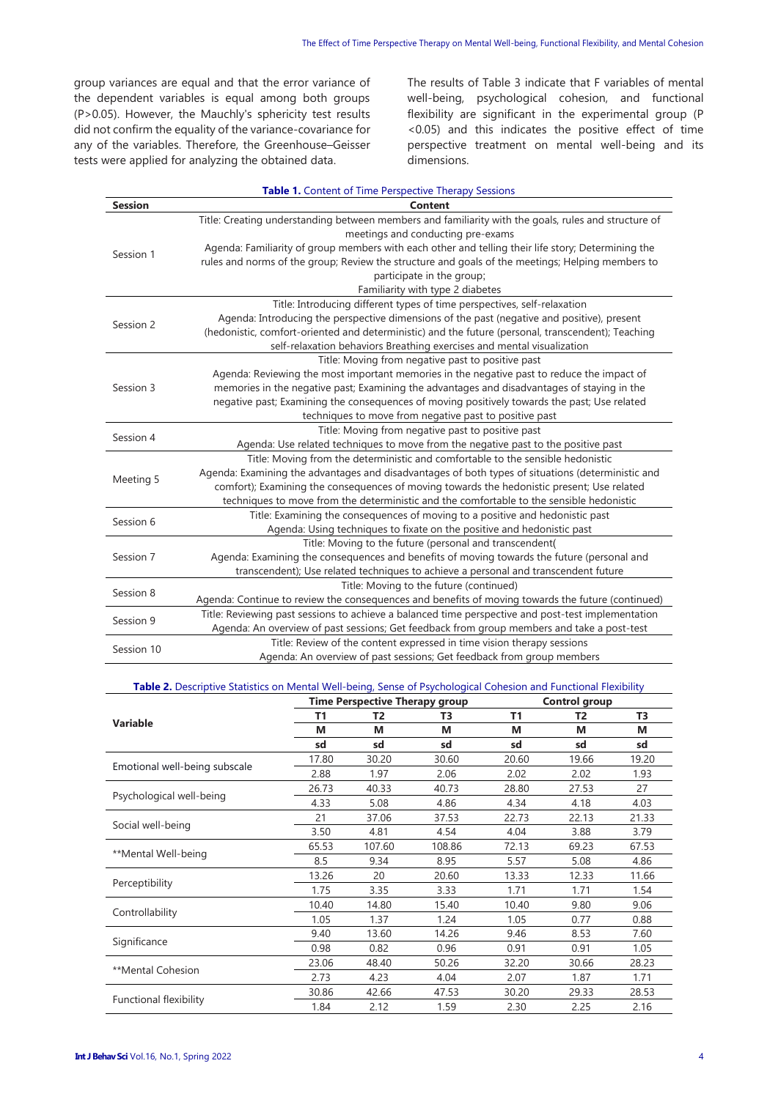group variances are equal and that the error variance of the dependent variables is equal among both groups (P>0.05). However, the Mauchly's sphericity test results did not confirm the equality of the variance-covariance for any of the variables. Therefore, the Greenhouse–Geisser tests were applied for analyzing the obtained data.

The results of Table 3 indicate that F variables of mental well-being, psychological cohesion, and functional flexibility are significant in the experimental group (P <0.05) and this indicates the positive effect of time perspective treatment on mental well-being and its dimensions.

| <b>Table 1.</b> Content of Time Perspective Therapy Sessions |                                                                                                      |  |  |  |  |
|--------------------------------------------------------------|------------------------------------------------------------------------------------------------------|--|--|--|--|
| <b>Session</b>                                               | Content                                                                                              |  |  |  |  |
|                                                              | Title: Creating understanding between members and familiarity with the goals, rules and structure of |  |  |  |  |
|                                                              | meetings and conducting pre-exams                                                                    |  |  |  |  |
| Session 1                                                    | Agenda: Familiarity of group members with each other and telling their life story; Determining the   |  |  |  |  |
|                                                              | rules and norms of the group; Review the structure and goals of the meetings; Helping members to     |  |  |  |  |
|                                                              | participate in the group;                                                                            |  |  |  |  |
|                                                              | Familiarity with type 2 diabetes                                                                     |  |  |  |  |
|                                                              | Title: Introducing different types of time perspectives, self-relaxation                             |  |  |  |  |
| Session 2                                                    | Agenda: Introducing the perspective dimensions of the past (negative and positive), present          |  |  |  |  |
|                                                              | (hedonistic, comfort-oriented and deterministic) and the future (personal, transcendent); Teaching   |  |  |  |  |
|                                                              | self-relaxation behaviors Breathing exercises and mental visualization                               |  |  |  |  |
|                                                              | Title: Moving from negative past to positive past                                                    |  |  |  |  |
|                                                              | Agenda: Reviewing the most important memories in the negative past to reduce the impact of           |  |  |  |  |
| Session 3                                                    | memories in the negative past; Examining the advantages and disadvantages of staying in the          |  |  |  |  |
|                                                              | negative past; Examining the consequences of moving positively towards the past; Use related         |  |  |  |  |
|                                                              | techniques to move from negative past to positive past                                               |  |  |  |  |
| Session 4                                                    | Title: Moving from negative past to positive past                                                    |  |  |  |  |
|                                                              | Agenda: Use related techniques to move from the negative past to the positive past                   |  |  |  |  |
|                                                              | Title: Moving from the deterministic and comfortable to the sensible hedonistic                      |  |  |  |  |
| Meeting 5                                                    | Agenda: Examining the advantages and disadvantages of both types of situations (deterministic and    |  |  |  |  |
|                                                              | comfort); Examining the consequences of moving towards the hedonistic present; Use related           |  |  |  |  |
|                                                              | techniques to move from the deterministic and the comfortable to the sensible hedonistic             |  |  |  |  |
| Session 6                                                    | Title: Examining the consequences of moving to a positive and hedonistic past                        |  |  |  |  |
|                                                              | Agenda: Using techniques to fixate on the positive and hedonistic past                               |  |  |  |  |
| Session 7                                                    | Title: Moving to the future (personal and transcendent(                                              |  |  |  |  |
|                                                              | Agenda: Examining the consequences and benefits of moving towards the future (personal and           |  |  |  |  |
|                                                              | transcendent); Use related techniques to achieve a personal and transcendent future                  |  |  |  |  |
| Session 8                                                    | Title: Moving to the future (continued)                                                              |  |  |  |  |
|                                                              | Agenda: Continue to review the consequences and benefits of moving towards the future (continued)    |  |  |  |  |
| Session 9                                                    | Title: Reviewing past sessions to achieve a balanced time perspective and post-test implementation   |  |  |  |  |
|                                                              | Agenda: An overview of past sessions; Get feedback from group members and take a post-test           |  |  |  |  |
| Session 10                                                   | Title: Review of the content expressed in time vision therapy sessions                               |  |  |  |  |
|                                                              | Agenda: An overview of past sessions; Get feedback from group members                                |  |  |  |  |

#### **Table 2.** Descriptive Statistics on Mental Well-being, Sense of Psychological Cohesion and Functional Flexibility

|                               | <b>Time Perspective Therapy group</b> |        |        | <b>Control group</b> |                |                |
|-------------------------------|---------------------------------------|--------|--------|----------------------|----------------|----------------|
|                               | T1                                    | T2     | T3     | <b>T1</b>            | T <sub>2</sub> | T <sub>3</sub> |
| <b>Variable</b>               | M                                     | М      | M      | М                    | М              | М              |
|                               | sd                                    | sd     | sd     | sd                   | sd             | sd             |
|                               | 17.80                                 | 30.20  | 30.60  | 20.60                | 19.66          | 19.20          |
| Emotional well-being subscale | 2.88                                  | 1.97   | 2.06   | 2.02                 | 2.02           | 1.93           |
|                               | 26.73                                 | 40.33  | 40.73  | 28.80                | 27.53          | 27             |
| Psychological well-being      | 4.33                                  | 5.08   | 4.86   | 4.34                 | 4.18           | 4.03           |
|                               | 21                                    | 37.06  | 37.53  | 22.73                | 22.13          | 21.33          |
| Social well-being             | 3.50                                  | 4.81   | 4.54   | 4.04                 | 3.88           | 3.79           |
|                               | 65.53                                 | 107.60 | 108.86 | 72.13                | 69.23          | 67.53          |
| **Mental Well-being           | 8.5                                   | 9.34   | 8.95   | 5.57                 | 5.08           | 4.86           |
|                               | 13.26                                 | 20     | 20.60  | 13.33                | 12.33          | 11.66          |
| Perceptibility                | 1.75                                  | 3.35   | 3.33   | 1.71                 | 1.71           | 1.54           |
|                               | 10.40                                 | 14.80  | 15.40  | 10.40                | 9.80           | 9.06           |
| Controllability               | 1.05                                  | 1.37   | 1.24   | 1.05                 | 0.77           | 0.88           |
|                               | 9.40                                  | 13.60  | 14.26  | 9.46                 | 8.53           | 7.60           |
| Significance                  | 0.98                                  | 0.82   | 0.96   | 0.91                 | 0.91           | 1.05           |
|                               | 23.06                                 | 48.40  | 50.26  | 32.20                | 30.66          | 28.23          |
| **Mental Cohesion             | 2.73                                  | 4.23   | 4.04   | 2.07                 | 1.87           | 1.71           |
|                               | 30.86                                 | 42.66  | 47.53  | 30.20                | 29.33          | 28.53          |
| Functional flexibility        | 1.84                                  | 2.12   | 1.59   | 2.30                 | 2.25           | 2.16           |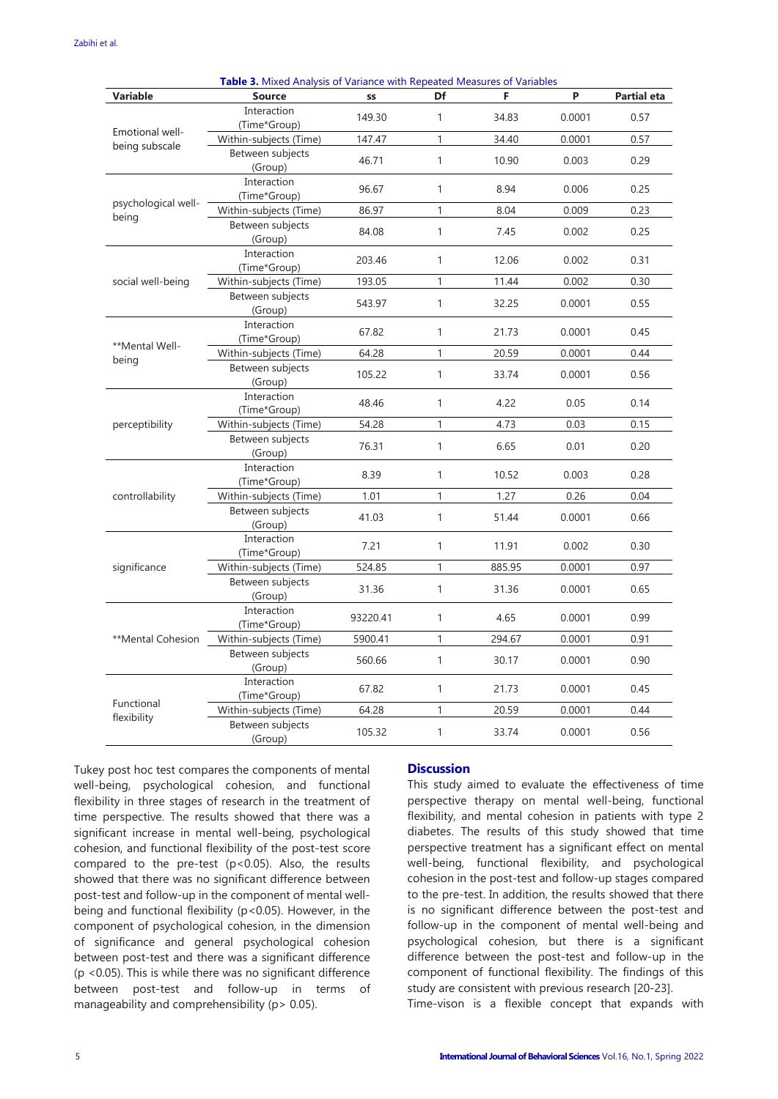| Table 3. Mixed Analysis of Variance with Repeated Measures of Variables |                             |          |              |        |        |                    |  |  |  |
|-------------------------------------------------------------------------|-----------------------------|----------|--------------|--------|--------|--------------------|--|--|--|
| <b>Variable</b>                                                         | <b>Source</b>               | SS       | Df           | F      | P      | <b>Partial eta</b> |  |  |  |
|                                                                         | Interaction<br>(Time*Group) | 149.30   | 1            | 34.83  | 0.0001 | 0.57               |  |  |  |
| Emotional well-                                                         | Within-subjects (Time)      | 147.47   | 1            | 34.40  | 0.0001 | 0.57               |  |  |  |
| being subscale                                                          | Between subjects<br>(Group) | 46.71    | $\mathbf{1}$ | 10.90  | 0.003  | 0.29               |  |  |  |
| psychological well-<br>being                                            | Interaction<br>(Time*Group) | 96.67    | 1            | 8.94   | 0.006  | 0.25               |  |  |  |
|                                                                         | Within-subjects (Time)      | 86.97    | 1            | 8.04   | 0.009  | 0.23               |  |  |  |
|                                                                         | Between subjects<br>(Group) | 84.08    | $\mathbf{1}$ | 7.45   | 0.002  | 0.25               |  |  |  |
|                                                                         | Interaction<br>(Time*Group) | 203.46   | 1            | 12.06  | 0.002  | 0.31               |  |  |  |
| social well-being                                                       | Within-subjects (Time)      | 193.05   | 1            | 11.44  | 0.002  | 0.30               |  |  |  |
|                                                                         | Between subjects<br>(Group) | 543.97   | $\mathbf{1}$ | 32.25  | 0.0001 | 0.55               |  |  |  |
| **Mental Well-                                                          | Interaction<br>(Time*Group) | 67.82    | 1            | 21.73  | 0.0001 | 0.45               |  |  |  |
| being                                                                   | Within-subjects (Time)      | 64.28    | 1            | 20.59  | 0.0001 | 0.44               |  |  |  |
|                                                                         | Between subjects<br>(Group) | 105.22   | 1            | 33.74  | 0.0001 | 0.56               |  |  |  |
|                                                                         | Interaction<br>(Time*Group) | 48.46    | 1            | 4.22   | 0.05   | 0.14               |  |  |  |
| perceptibility                                                          | Within-subjects (Time)      | 54.28    | 1            | 4.73   | 0.03   | 0.15               |  |  |  |
|                                                                         | Between subjects<br>(Group) | 76.31    | $\mathbf{1}$ | 6.65   | 0.01   | 0.20               |  |  |  |
|                                                                         | Interaction<br>(Time*Group) | 8.39     | 1            | 10.52  | 0.003  | 0.28               |  |  |  |
| controllability                                                         | Within-subjects (Time)      | 1.01     | 1            | 1.27   | 0.26   | 0.04               |  |  |  |
|                                                                         | Between subjects<br>(Group) | 41.03    | $\mathbf{1}$ | 51.44  | 0.0001 | 0.66               |  |  |  |
|                                                                         | Interaction<br>(Time*Group) | 7.21     | 1            | 11.91  | 0.002  | 0.30               |  |  |  |
| significance                                                            | Within-subjects (Time)      | 524.85   | $\mathbf{1}$ | 885.95 | 0.0001 | 0.97               |  |  |  |
|                                                                         | Between subjects<br>(Group) | 31.36    | $\mathbf{1}$ | 31.36  | 0.0001 | 0.65               |  |  |  |
|                                                                         | Interaction<br>(Time*Group) | 93220.41 | 1            | 4.65   | 0.0001 | 0.99               |  |  |  |
| **Mental Cohesion                                                       | Within-subjects (Time)      | 5900.41  | 1            | 294.67 | 0.0001 | 0.91               |  |  |  |
|                                                                         | Between subjects<br>(Group) | 560.66   | $\mathbf{1}$ | 30.17  | 0.0001 | 0.90               |  |  |  |
|                                                                         | Interaction<br>(Time*Group) | 67.82    | 1            | 21.73  | 0.0001 | 0.45               |  |  |  |
| Functional                                                              | Within-subjects (Time)      | 64.28    | 1            | 20.59  | 0.0001 | 0.44               |  |  |  |
| flexibility                                                             | Between subjects<br>(Group) | 105.32   | $\mathbf{1}$ | 33.74  | 0.0001 | 0.56               |  |  |  |

Tukey post hoc test compares the components of mental well-being, psychological cohesion, and functional

flexibility in three stages of research in the treatment of time perspective. The results showed that there was a significant increase in mental well-being, psychological cohesion, and functional flexibility of the post-test score compared to the pre-test (p<0.05). Also, the results showed that there was no significant difference between post-test and follow-up in the component of mental wellbeing and functional flexibility (p<0.05). However, in the component of psychological cohesion, in the dimension of significance and general psychological cohesion between post-test and there was a significant difference (p <0.05). This is while there was no significant difference between post-test and follow-up in terms of manageability and comprehensibility (p> 0.05).

## **Discussion**

This study aimed to evaluate the effectiveness of time perspective therapy on mental well-being, functional flexibility, and mental cohesion in patients with type 2 diabetes. The results of this study showed that time perspective treatment has a significant effect on mental well-being, functional flexibility, and psychological cohesion in the post-test and follow-up stages compared to the pre-test. In addition, the results showed that there is no significant difference between the post-test and follow-up in the component of mental well-being and psychological cohesion, but there is a significant difference between the post-test and follow-up in the component of functional flexibility. The findings of this study are consistent with previous research [20-23].

Time-vison is a flexible concept that expands with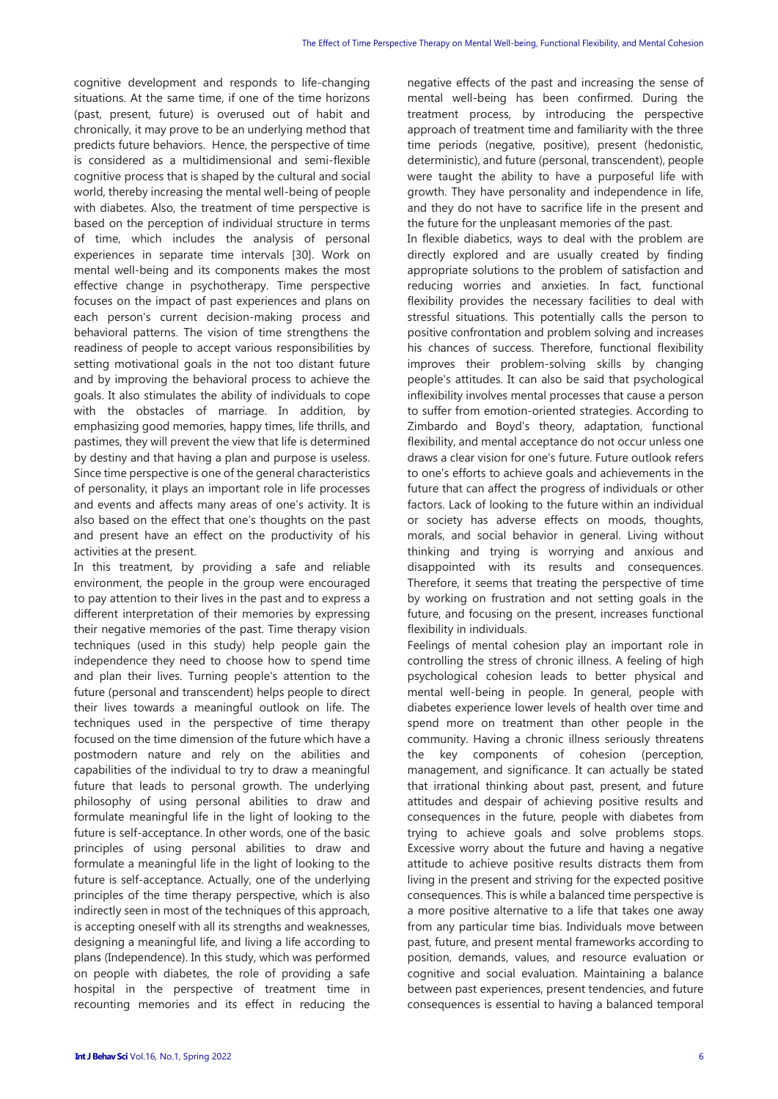cognitive development and responds to life-changing situations. At the same time, if one of the time horizons (past, present, future) is overused out of habit and chronically, it may prove to be an underlying method that predicts future behaviors. Hence, the perspective of time is considered as a multidimensional and semi-flexible cognitive process that is shaped by the cultural and social world, thereby increasing the mental well-being of people with diabetes. Also, the treatment of time perspective is based on the perception of individual structure in terms of time, which includes the analysis of personal experiences in separate time intervals [30]. Work on mental well-being and its components makes the most effective change in psychotherapy. Time perspective focuses on the impact of past experiences and plans on each person's current decision-making process and behavioral patterns. The vision of time strengthens the readiness of people to accept various responsibilities by setting motivational goals in the not too distant future and by improving the behavioral process to achieve the goals. It also stimulates the ability of individuals to cope with the obstacles of marriage. In addition, by emphasizing good memories, happy times, life thrills, and pastimes, they will prevent the view that life is determined by destiny and that having a plan and purpose is useless. Since time perspective is one of the general characteristics of personality, it plays an important role in life processes and events and affects many areas of one's activity. It is also based on the effect that one's thoughts on the past and present have an effect on the productivity of his activities at the present.

In this treatment, by providing a safe and reliable environment, the people in the group were encouraged to pay attention to their lives in the past and to express a different interpretation of their memories by expressing their negative memories of the past. Time therapy vision techniques (used in this study) help people gain the independence they need to choose how to spend time and plan their lives. Turning people's attention to the future (personal and transcendent) helps people to direct their lives towards a meaningful outlook on life. The techniques used in the perspective of time therapy focused on the time dimension of the future which have a postmodern nature and rely on the abilities and capabilities of the individual to try to draw a meaningful future that leads to personal growth. The underlying philosophy of using personal abilities to draw and formulate meaningful life in the light of looking to the future is self-acceptance. In other words, one of the basic principles of using personal abilities to draw and formulate a meaningful life in the light of looking to the future is self-acceptance. Actually, one of the underlying principles of the time therapy perspective, which is also indirectly seen in most of the techniques of this approach, is accepting oneself with all its strengths and weaknesses, designing a meaningful life, and living a life according to plans (Independence). In this study, which was performed on people with diabetes, the role of providing a safe hospital in the perspective of treatment time in recounting memories and its effect in reducing the negative effects of the past and increasing the sense of mental well-being has been confirmed. During the treatment process, by introducing the perspective approach of treatment time and familiarity with the three time periods (negative, positive), present (hedonistic, deterministic), and future (personal, transcendent), people were taught the ability to have a purposeful life with growth. They have personality and independence in life, and they do not have to sacrifice life in the present and the future for the unpleasant memories of the past.

In flexible diabetics, ways to deal with the problem are directly explored and are usually created by finding appropriate solutions to the problem of satisfaction and reducing worries and anxieties. In fact, functional flexibility provides the necessary facilities to deal with stressful situations. This potentially calls the person to positive confrontation and problem solving and increases his chances of success. Therefore, functional flexibility improves their problem-solving skills by changing people's attitudes. It can also be said that psychological inflexibility involves mental processes that cause a person to suffer from emotion-oriented strategies. According to Zimbardo and Boyd's theory, adaptation, functional flexibility, and mental acceptance do not occur unless one draws a clear vision for one's future. Future outlook refers to one's efforts to achieve goals and achievements in the future that can affect the progress of individuals or other factors. Lack of looking to the future within an individual or society has adverse effects on moods, thoughts, morals, and social behavior in general. Living without thinking and trying is worrying and anxious and disappointed with its results and consequences. Therefore, it seems that treating the perspective of time by working on frustration and not setting goals in the future, and focusing on the present, increases functional flexibility in individuals.

Feelings of mental cohesion play an important role in controlling the stress of chronic illness. A feeling of high psychological cohesion leads to better physical and mental well-being in people. In general, people with diabetes experience lower levels of health over time and spend more on treatment than other people in the community. Having a chronic illness seriously threatens the key components of cohesion (perception, management, and significance. It can actually be stated that irrational thinking about past, present, and future attitudes and despair of achieving positive results and consequences in the future, people with diabetes from trying to achieve goals and solve problems stops. Excessive worry about the future and having a negative attitude to achieve positive results distracts them from living in the present and striving for the expected positive consequences. This is while a balanced time perspective is a more positive alternative to a life that takes one away from any particular time bias. Individuals move between past, future, and present mental frameworks according to position, demands, values, and resource evaluation or cognitive and social evaluation. Maintaining a balance between past experiences, present tendencies, and future consequences is essential to having a balanced temporal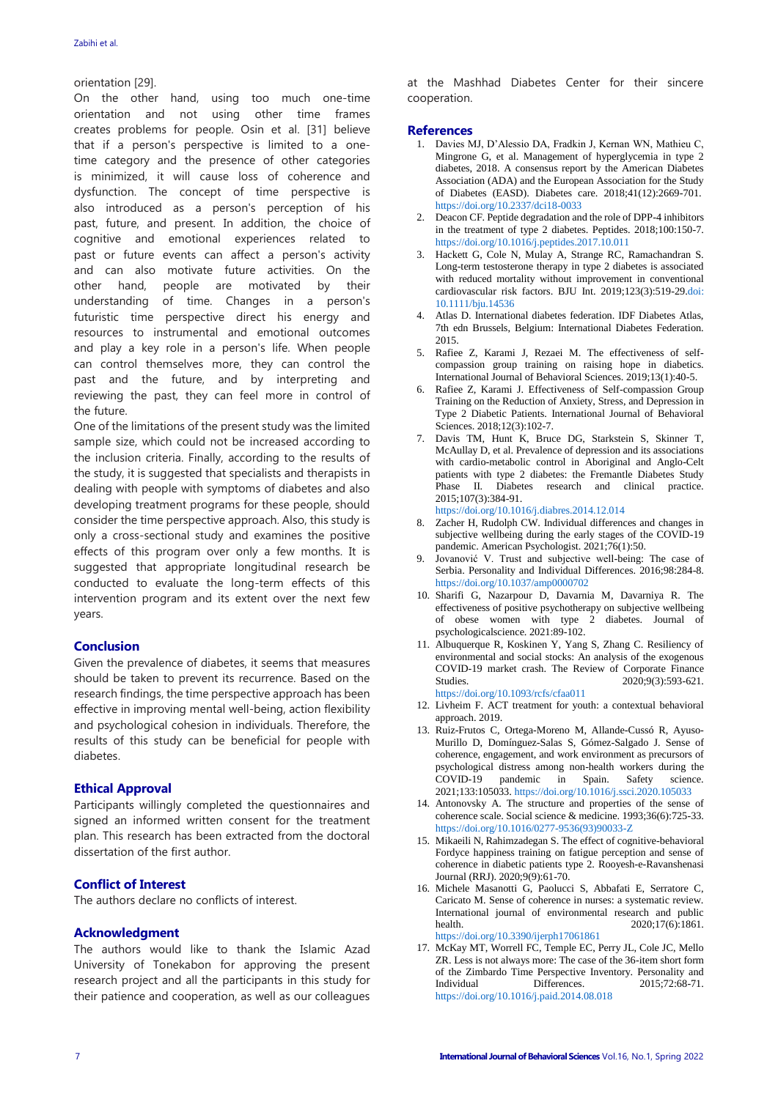#### orientation [29].

On the other hand, using too much one-time orientation and not using other time frames creates problems for people. Osin et al. [31] believe that if a person's perspective is limited to a onetime category and the presence of other categories is minimized, it will cause loss of coherence and dysfunction. The concept of time perspective is also introduced as a person's perception of his past, future, and present. In addition, the choice of cognitive and emotional experiences related to past or future events can affect a person's activity and can also motivate future activities. On the other hand, people are motivated by their understanding of time. Changes in a person's futuristic time perspective direct his energy and resources to instrumental and emotional outcomes and play a key role in a person's life. When people can control themselves more, they can control the past and the future, and by interpreting and reviewing the past, they can feel more in control of the future.

One of the limitations of the present study was the limited sample size, which could not be increased according to the inclusion criteria. Finally, according to the results of the study, it is suggested that specialists and therapists in dealing with people with symptoms of diabetes and also developing treatment programs for these people, should consider the time perspective approach. Also, this study is only a cross-sectional study and examines the positive effects of this program over only a few months. It is suggested that appropriate longitudinal research be conducted to evaluate the long-term effects of this intervention program and its extent over the next few years.

## **Conclusion**

Given the prevalence of diabetes, it seems that measures should be taken to prevent its recurrence. Based on the research findings, the time perspective approach has been effective in improving mental well-being, action flexibility and psychological cohesion in individuals. Therefore, the results of this study can be beneficial for people with diabetes.

## **Ethical Approval**

Participants willingly completed the questionnaires and signed an informed written consent for the treatment plan. This research has been extracted from the doctoral dissertation of the first author.

## **Conflict of Interest**

The authors declare no conflicts of interest.

#### **Acknowledgment**

The authors would like to thank the Islamic Azad University of Tonekabon for approving the present research project and all the participants in this study for their patience and cooperation, as well as our colleagues

at the Mashhad Diabetes Center for their sincere cooperation.

#### **References**

- 1. Davies MJ, D'Alessio DA, Fradkin J, Kernan WN, Mathieu C, Mingrone G, et al. Management of hyperglycemia in type 2 diabetes, 2018. A consensus report by the American Diabetes Association (ADA) and the European Association for the Study of Diabetes (EASD). Diabetes care. 2018;41(12):2669-70[1.](https://doi.org/10.2337/dci18-0033) <https://doi.org/10.2337/dci18-0033>
- 2. Deacon CF. Peptide degradation and the role of DPP-4 inhibitors in the treatment of type 2 diabetes. Peptides. 2018;100:150-7. <https://doi.org/10.1016/j.peptides.2017.10.011>
- 3. Hackett G, Cole N, Mulay A, Strange RC, Ramachandran S. Long-term testosterone therapy in type 2 diabetes is associated with reduced mortality without improvement in conventional cardiovascular risk factors. BJU Int. 2019;123(3):519-2[9.doi:](doi:%2010.1111/bju.14536)  [10.1111/bju.14536](doi:%2010.1111/bju.14536)
- Atlas D. International diabetes federation. IDF Diabetes Atlas, 7th edn Brussels, Belgium: International Diabetes Federation. 2015.
- 5. Rafiee Z, Karami J, Rezaei M. The effectiveness of selfcompassion group training on raising hope in diabetics. International Journal of Behavioral Sciences. 2019;13(1):40-5.
- 6. Rafiee Z, Karami J. Effectiveness of Self-compassion Group Training on the Reduction of Anxiety, Stress, and Depression in Type 2 Diabetic Patients. International Journal of Behavioral Sciences. 2018;12(3):102-7.
- 7. Davis TM, Hunt K, Bruce DG, Starkstein S, Skinner T, McAullay D, et al. Prevalence of depression and its associations with cardio-metabolic control in Aboriginal and Anglo-Celt patients with type 2 diabetes: the Fremantle Diabetes Study Phase II. Diabetes research and clinical practice. 2015;107(3):384-91.

<https://doi.org/10.1016/j.diabres.2014.12.014>

- 8. Zacher H, Rudolph CW. Individual differences and changes in subjective wellbeing during the early stages of the COVID-19 pandemic. American Psychologist. 2021;76(1):50.
- 9. Jovanović V. Trust and subjective well-being: The case of Serbia. Personality and Individual Differences. 2016;98:284-8. <https://doi.org/10.1037/amp0000702>
- 10. Sharifi G, Nazarpour D, Davarnia M, Davarniya R. The effectiveness of positive psychotherapy on subjective wellbeing of obese women with type 2 diabetes. Journal of psychologicalscience. 2021:89-102.
- 11. Albuquerque R, Koskinen Y, Yang S, Zhang C. Resiliency of environmental and social stocks: An analysis of the exogenous COVID-19 market crash. The Review of Corporate Finance Studies. 2020;9(3):593-621. <https://doi.org/10.1093/rcfs/cfaa011>
- 12. Livheim F. ACT treatment for youth: a contextual behavioral approach. 2019.
- 13. Ruiz-Frutos C, Ortega-Moreno M, Allande-Cussó R, Ayuso-Murillo D, Domínguez-Salas S, Gómez-Salgado J. Sense of coherence, engagement, and work environment as precursors of psychological distress among non-health workers during the COVID-19 pandemic in Spain. Safety science. 2021;133:105033. <https://doi.org/10.1016/j.ssci.2020.105033>
- 14. Antonovsky A. The structure and properties of the sense of coherence scale. Social science & medicine. 1993;36(6):725-33. [https://doi.org/10.1016/0277-9536\(93\)90033-Z](https://doi.org/10.1016/0277-9536(93)90033-Z)
- 15. Mikaeili N, Rahimzadegan S. The effect of cognitive-behavioral Fordyce happiness training on fatigue perception and sense of coherence in diabetic patients type 2. Rooyesh-e-Ravanshenasi Journal (RRJ). 2020;9(9):61-70.
- 16. Michele Masanotti G, Paolucci S, Abbafati E, Serratore C, Caricato M. Sense of coherence in nurses: a systematic review. International journal of environmental research and public health. 2020:17(6):1861. <https://doi.org/10.3390/ijerph17061861>
- 17. McKay MT, Worrell FC, Temple EC, Perry JL, Cole JC, Mello ZR. Less is not always more: The case of the 36-item short form of the Zimbardo Time Perspective Inventory. Personality and Individual Differences. 2015;72:68-71. <https://doi.org/10.1016/j.paid.2014.08.018>